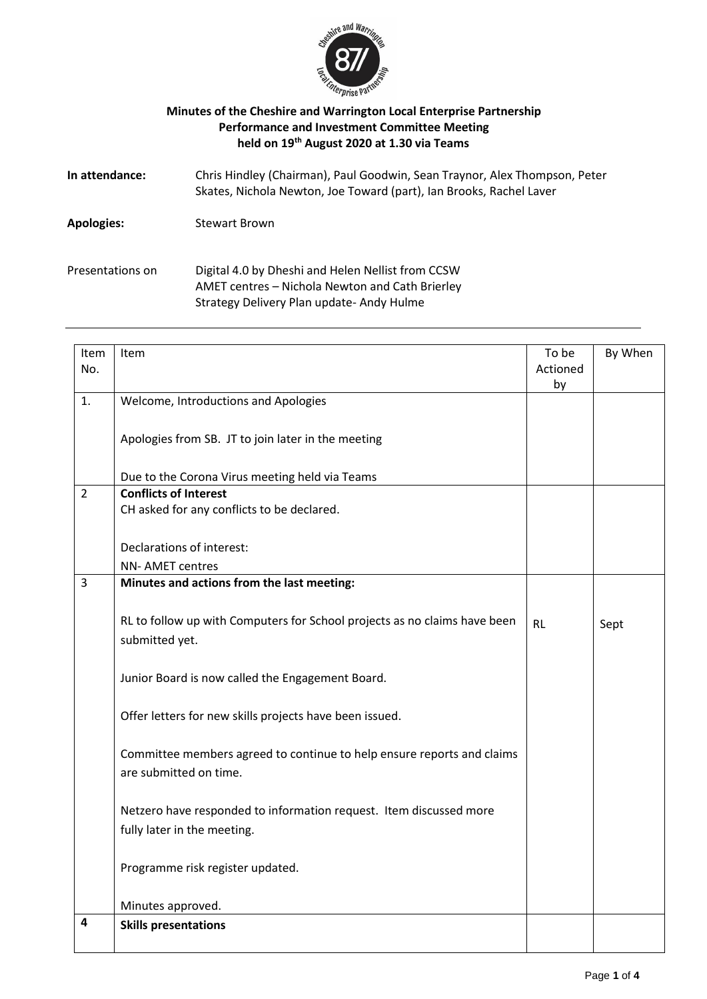

## **Minutes of the Cheshire and Warrington Local Enterprise Partnership Performance and Investment Committee Meeting held on 19 th August 2020 at 1.30 via Teams**

| In attendance:    | Chris Hindley (Chairman), Paul Goodwin, Sean Traynor, Alex Thompson, Peter<br>Skates, Nichola Newton, Joe Toward (part), Ian Brooks, Rachel Laver |
|-------------------|---------------------------------------------------------------------------------------------------------------------------------------------------|
| <b>Apologies:</b> | <b>Stewart Brown</b>                                                                                                                              |
| Presentations on  | Digital 4.0 by Dheshi and Helen Nellist from CCSW<br>AMET centres - Nichola Newton and Cath Brierley<br>Strategy Delivery Plan update-Andy Hulme  |

| Item           | Item                                                                      | To be     | By When |
|----------------|---------------------------------------------------------------------------|-----------|---------|
| No.            |                                                                           | Actioned  |         |
|                |                                                                           | by        |         |
| 1.             | Welcome, Introductions and Apologies                                      |           |         |
|                |                                                                           |           |         |
|                | Apologies from SB. JT to join later in the meeting                        |           |         |
|                |                                                                           |           |         |
|                | Due to the Corona Virus meeting held via Teams                            |           |         |
| $\overline{2}$ | <b>Conflicts of Interest</b>                                              |           |         |
|                | CH asked for any conflicts to be declared.                                |           |         |
|                |                                                                           |           |         |
|                | Declarations of interest:                                                 |           |         |
|                | <b>NN-AMET centres</b>                                                    |           |         |
| $\overline{3}$ | Minutes and actions from the last meeting:                                |           |         |
|                |                                                                           |           |         |
|                | RL to follow up with Computers for School projects as no claims have been | <b>RL</b> |         |
|                | submitted yet.                                                            |           | Sept    |
|                |                                                                           |           |         |
|                |                                                                           |           |         |
|                | Junior Board is now called the Engagement Board.                          |           |         |
|                |                                                                           |           |         |
|                | Offer letters for new skills projects have been issued.                   |           |         |
|                |                                                                           |           |         |
|                | Committee members agreed to continue to help ensure reports and claims    |           |         |
|                | are submitted on time.                                                    |           |         |
|                |                                                                           |           |         |
|                | Netzero have responded to information request. Item discussed more        |           |         |
|                | fully later in the meeting.                                               |           |         |
|                |                                                                           |           |         |
|                | Programme risk register updated.                                          |           |         |
|                |                                                                           |           |         |
|                | Minutes approved.                                                         |           |         |
| 4              | <b>Skills presentations</b>                                               |           |         |
|                |                                                                           |           |         |
|                |                                                                           |           |         |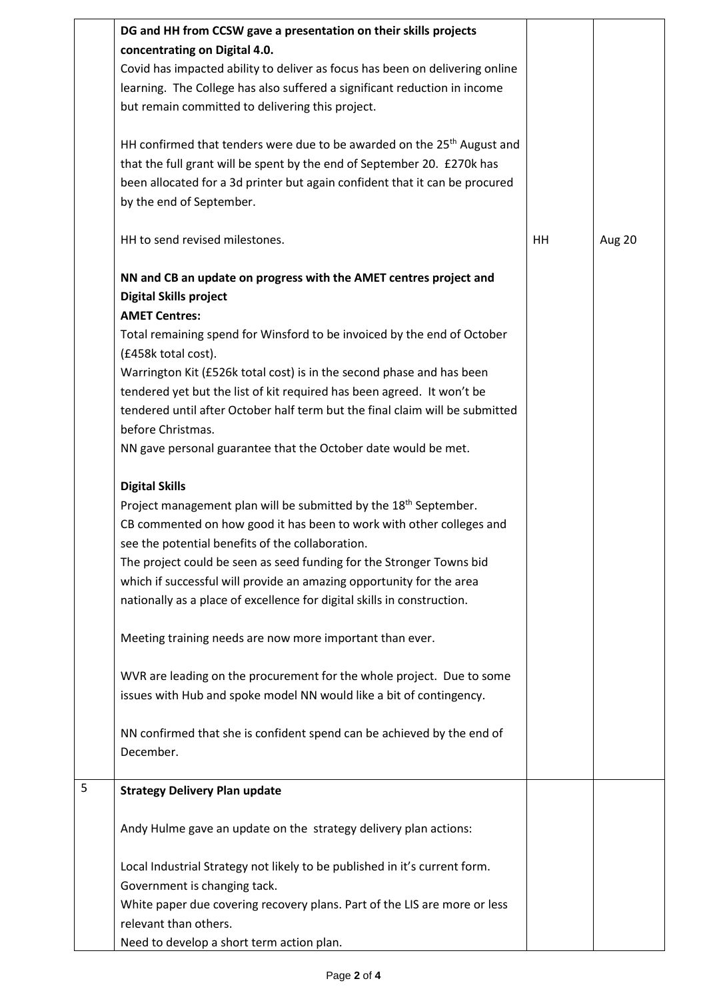|   | DG and HH from CCSW gave a presentation on their skills projects<br>concentrating on Digital 4.0. |    |        |
|---|---------------------------------------------------------------------------------------------------|----|--------|
|   |                                                                                                   |    |        |
|   | Covid has impacted ability to deliver as focus has been on delivering online                      |    |        |
|   | learning. The College has also suffered a significant reduction in income                         |    |        |
|   | but remain committed to delivering this project.                                                  |    |        |
|   | HH confirmed that tenders were due to be awarded on the 25 <sup>th</sup> August and               |    |        |
|   | that the full grant will be spent by the end of September 20. £270k has                           |    |        |
|   | been allocated for a 3d printer but again confident that it can be procured                       |    |        |
|   | by the end of September.                                                                          |    |        |
|   | HH to send revised milestones.                                                                    | HH | Aug 20 |
|   | NN and CB an update on progress with the AMET centres project and                                 |    |        |
|   | <b>Digital Skills project</b>                                                                     |    |        |
|   | <b>AMET Centres:</b>                                                                              |    |        |
|   | Total remaining spend for Winsford to be invoiced by the end of October                           |    |        |
|   | (£458k total cost).                                                                               |    |        |
|   | Warrington Kit (£526k total cost) is in the second phase and has been                             |    |        |
|   | tendered yet but the list of kit required has been agreed. It won't be                            |    |        |
|   | tendered until after October half term but the final claim will be submitted                      |    |        |
|   | before Christmas.                                                                                 |    |        |
|   | NN gave personal guarantee that the October date would be met.                                    |    |        |
|   | <b>Digital Skills</b>                                                                             |    |        |
|   | Project management plan will be submitted by the 18 <sup>th</sup> September.                      |    |        |
|   | CB commented on how good it has been to work with other colleges and                              |    |        |
|   | see the potential benefits of the collaboration.                                                  |    |        |
|   | The project could be seen as seed funding for the Stronger Towns bid                              |    |        |
|   | which if successful will provide an amazing opportunity for the area                              |    |        |
|   | nationally as a place of excellence for digital skills in construction.                           |    |        |
|   | Meeting training needs are now more important than ever.                                          |    |        |
|   |                                                                                                   |    |        |
|   | WVR are leading on the procurement for the whole project. Due to some                             |    |        |
|   | issues with Hub and spoke model NN would like a bit of contingency.                               |    |        |
|   | NN confirmed that she is confident spend can be achieved by the end of                            |    |        |
|   | December.                                                                                         |    |        |
| 5 | <b>Strategy Delivery Plan update</b>                                                              |    |        |
|   |                                                                                                   |    |        |
|   | Andy Hulme gave an update on the strategy delivery plan actions:                                  |    |        |
|   | Local Industrial Strategy not likely to be published in it's current form.                        |    |        |
|   | Government is changing tack.                                                                      |    |        |
|   | White paper due covering recovery plans. Part of the LIS are more or less                         |    |        |
|   | relevant than others.                                                                             |    |        |
|   | Need to develop a short term action plan.                                                         |    |        |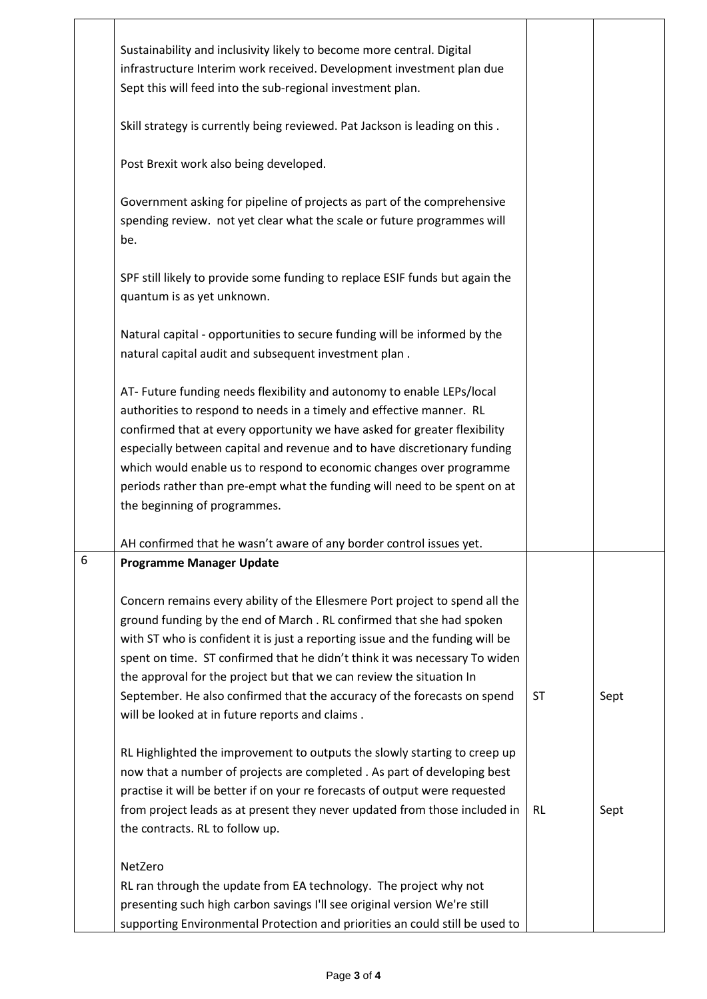|   | Sustainability and inclusivity likely to become more central. Digital<br>infrastructure Interim work received. Development investment plan due<br>Sept this will feed into the sub-regional investment plan.                                                                                                                                                                                                                                                                                                               |           |      |
|---|----------------------------------------------------------------------------------------------------------------------------------------------------------------------------------------------------------------------------------------------------------------------------------------------------------------------------------------------------------------------------------------------------------------------------------------------------------------------------------------------------------------------------|-----------|------|
|   | Skill strategy is currently being reviewed. Pat Jackson is leading on this.                                                                                                                                                                                                                                                                                                                                                                                                                                                |           |      |
|   | Post Brexit work also being developed.                                                                                                                                                                                                                                                                                                                                                                                                                                                                                     |           |      |
|   | Government asking for pipeline of projects as part of the comprehensive<br>spending review. not yet clear what the scale or future programmes will<br>be.                                                                                                                                                                                                                                                                                                                                                                  |           |      |
|   | SPF still likely to provide some funding to replace ESIF funds but again the<br>quantum is as yet unknown.                                                                                                                                                                                                                                                                                                                                                                                                                 |           |      |
|   | Natural capital - opportunities to secure funding will be informed by the<br>natural capital audit and subsequent investment plan.                                                                                                                                                                                                                                                                                                                                                                                         |           |      |
|   | AT- Future funding needs flexibility and autonomy to enable LEPs/local<br>authorities to respond to needs in a timely and effective manner. RL<br>confirmed that at every opportunity we have asked for greater flexibility<br>especially between capital and revenue and to have discretionary funding<br>which would enable us to respond to economic changes over programme<br>periods rather than pre-empt what the funding will need to be spent on at<br>the beginning of programmes.                                |           |      |
|   | AH confirmed that he wasn't aware of any border control issues yet.                                                                                                                                                                                                                                                                                                                                                                                                                                                        |           |      |
| 6 | <b>Programme Manager Update</b>                                                                                                                                                                                                                                                                                                                                                                                                                                                                                            |           |      |
|   | Concern remains every ability of the Ellesmere Port project to spend all the<br>ground funding by the end of March. RL confirmed that she had spoken<br>with ST who is confident it is just a reporting issue and the funding will be<br>spent on time. ST confirmed that he didn't think it was necessary To widen<br>the approval for the project but that we can review the situation In<br>September. He also confirmed that the accuracy of the forecasts on spend<br>will be looked at in future reports and claims. | ST        | Sept |
|   | RL Highlighted the improvement to outputs the slowly starting to creep up<br>now that a number of projects are completed . As part of developing best<br>practise it will be better if on your re forecasts of output were requested<br>from project leads as at present they never updated from those included in<br>the contracts. RL to follow up.                                                                                                                                                                      | <b>RL</b> | Sept |
|   | NetZero<br>RL ran through the update from EA technology. The project why not<br>presenting such high carbon savings I'll see original version We're still<br>supporting Environmental Protection and priorities an could still be used to                                                                                                                                                                                                                                                                                  |           |      |